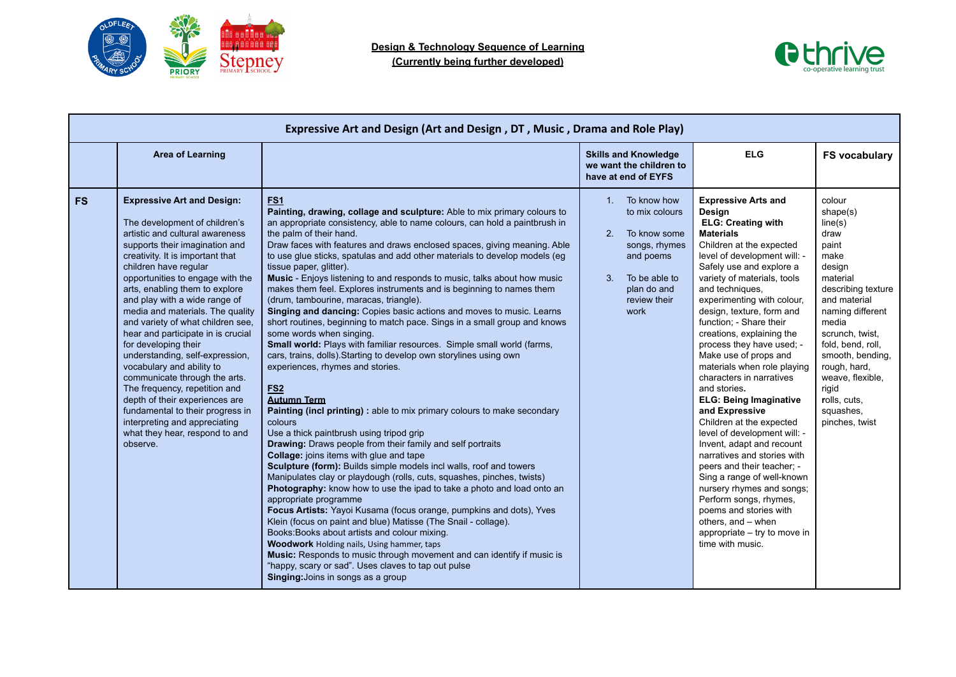



|           | Expressive Art and Design (Art and Design, DT, Music, Drama and Role Play)                                                                                                                                                                                                                                                                                                                                                                                                                                                                                                                                                                                                                                                                |                                                                                                                                                                                                                                                                                                                                                                                                                                                                                                                                                                                                                                                                                                                                                                                                                                                                                                                                                                                                                                                                                                                                                                                                                                                                                                                                                                                                                                                                                                                                                                                                                                                                                                                                                                                                                                                                                                                       |                                                                                                                                                              |                                                                                                                                                                                                                                                                                                                                                                                                                                                                                                                                                                                                                                                                                                                                                                                                                                                                                       |                                                                                                                                                                                                                                                                                                         |  |  |
|-----------|-------------------------------------------------------------------------------------------------------------------------------------------------------------------------------------------------------------------------------------------------------------------------------------------------------------------------------------------------------------------------------------------------------------------------------------------------------------------------------------------------------------------------------------------------------------------------------------------------------------------------------------------------------------------------------------------------------------------------------------------|-----------------------------------------------------------------------------------------------------------------------------------------------------------------------------------------------------------------------------------------------------------------------------------------------------------------------------------------------------------------------------------------------------------------------------------------------------------------------------------------------------------------------------------------------------------------------------------------------------------------------------------------------------------------------------------------------------------------------------------------------------------------------------------------------------------------------------------------------------------------------------------------------------------------------------------------------------------------------------------------------------------------------------------------------------------------------------------------------------------------------------------------------------------------------------------------------------------------------------------------------------------------------------------------------------------------------------------------------------------------------------------------------------------------------------------------------------------------------------------------------------------------------------------------------------------------------------------------------------------------------------------------------------------------------------------------------------------------------------------------------------------------------------------------------------------------------------------------------------------------------------------------------------------------------|--------------------------------------------------------------------------------------------------------------------------------------------------------------|---------------------------------------------------------------------------------------------------------------------------------------------------------------------------------------------------------------------------------------------------------------------------------------------------------------------------------------------------------------------------------------------------------------------------------------------------------------------------------------------------------------------------------------------------------------------------------------------------------------------------------------------------------------------------------------------------------------------------------------------------------------------------------------------------------------------------------------------------------------------------------------|---------------------------------------------------------------------------------------------------------------------------------------------------------------------------------------------------------------------------------------------------------------------------------------------------------|--|--|
|           | <b>Area of Learning</b>                                                                                                                                                                                                                                                                                                                                                                                                                                                                                                                                                                                                                                                                                                                   |                                                                                                                                                                                                                                                                                                                                                                                                                                                                                                                                                                                                                                                                                                                                                                                                                                                                                                                                                                                                                                                                                                                                                                                                                                                                                                                                                                                                                                                                                                                                                                                                                                                                                                                                                                                                                                                                                                                       | <b>Skills and Knowledge</b><br>we want the children to<br>have at end of EYFS                                                                                | <b>ELG</b>                                                                                                                                                                                                                                                                                                                                                                                                                                                                                                                                                                                                                                                                                                                                                                                                                                                                            | <b>FS vocabulary</b>                                                                                                                                                                                                                                                                                    |  |  |
| <b>FS</b> | <b>Expressive Art and Design:</b><br>The development of children's<br>artistic and cultural awareness<br>supports their imagination and<br>creativity. It is important that<br>children have regular<br>opportunities to engage with the<br>arts, enabling them to explore<br>and play with a wide range of<br>media and materials. The quality<br>and variety of what children see,<br>hear and participate in is crucial<br>for developing their<br>understanding, self-expression,<br>vocabulary and ability to<br>communicate through the arts.<br>The frequency, repetition and<br>depth of their experiences are<br>fundamental to their progress in<br>interpreting and appreciating<br>what they hear, respond to and<br>observe. | FS <sub>1</sub><br>Painting, drawing, collage and sculpture: Able to mix primary colours to<br>an appropriate consistency, able to name colours, can hold a paintbrush in<br>the palm of their hand.<br>Draw faces with features and draws enclosed spaces, giving meaning. Able<br>to use glue sticks, spatulas and add other materials to develop models (eg<br>tissue paper, glitter).<br>Music - Enjoys listening to and responds to music, talks about how music<br>makes them feel. Explores instruments and is beginning to names them<br>(drum, tambourine, maracas, triangle).<br>Singing and dancing: Copies basic actions and moves to music. Learns<br>short routines, beginning to match pace. Sings in a small group and knows<br>some words when singing.<br>Small world: Plays with familiar resources. Simple small world (farms,<br>cars, trains, dolls). Starting to develop own storylines using own<br>experiences, rhymes and stories.<br><b>FS2</b><br><b>Autumn Term</b><br>Painting (incl printing) : able to mix primary colours to make secondary<br>colours<br>Use a thick paintbrush using tripod grip<br>Drawing: Draws people from their family and self portraits<br>Collage: joins items with glue and tape<br>Sculpture (form): Builds simple models incl walls, roof and towers<br>Manipulates clay or playdough (rolls, cuts, squashes, pinches, twists)<br>Photography: know how to use the ipad to take a photo and load onto an<br>appropriate programme<br>Focus Artists: Yayoi Kusama (focus orange, pumpkins and dots), Yves<br>Klein (focus on paint and blue) Matisse (The Snail - collage).<br>Books: Books about artists and colour mixing.<br><b>Woodwork Holding nails, Using hammer, taps</b><br>Music: Responds to music through movement and can identify if music is<br>"happy, scary or sad". Uses claves to tap out pulse<br>Singing: Joins in songs as a group | 1. To know how<br>to mix colours<br>To know some<br>2.<br>songs, rhymes<br>and poems<br>$\mathbf{3}$<br>To be able to<br>plan do and<br>review their<br>work | <b>Expressive Arts and</b><br>Design<br><b>ELG: Creating with</b><br><b>Materials</b><br>Children at the expected<br>level of development will: -<br>Safely use and explore a<br>variety of materials, tools<br>and techniques,<br>experimenting with colour,<br>design, texture, form and<br>function; - Share their<br>creations, explaining the<br>process they have used; -<br>Make use of props and<br>materials when role playing<br>characters in narratives<br>and stories.<br><b>ELG: Being Imaginative</b><br>and Expressive<br>Children at the expected<br>level of development will: -<br>Invent, adapt and recount<br>narratives and stories with<br>peers and their teacher: -<br>Sing a range of well-known<br>nursery rhymes and songs;<br>Perform songs, rhymes,<br>poems and stories with<br>others, and - when<br>appropriate – try to move in<br>time with music. | colour<br>shape(s)<br>line(s)<br>draw<br>paint<br>make<br>design<br>material<br>describing texture<br>and material<br>naming different<br>media<br>scrunch, twist,<br>fold, bend, roll,<br>smooth, bending,<br>rough, hard,<br>weave, flexible,<br>rigid<br>rolls, cuts,<br>squashes.<br>pinches, twist |  |  |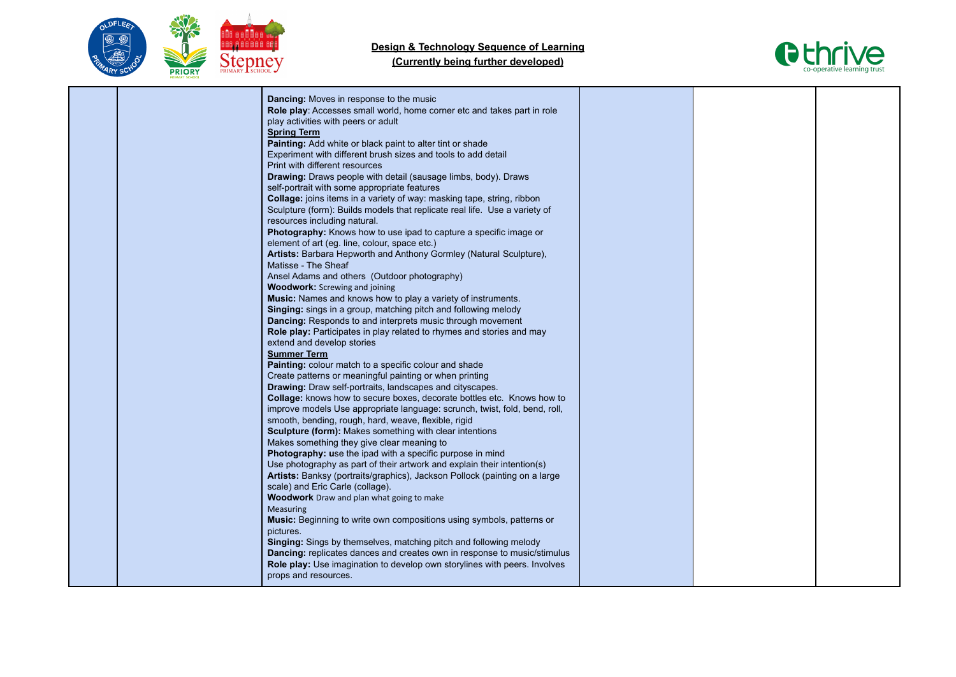



|  | <b>Dancing:</b> Moves in response to the music                                                                     |  |  |
|--|--------------------------------------------------------------------------------------------------------------------|--|--|
|  | Role play: Accesses small world, home corner etc and takes part in role                                            |  |  |
|  | play activities with peers or adult                                                                                |  |  |
|  | <b>Spring Term</b>                                                                                                 |  |  |
|  | Painting: Add white or black paint to alter tint or shade                                                          |  |  |
|  | Experiment with different brush sizes and tools to add detail                                                      |  |  |
|  | Print with different resources                                                                                     |  |  |
|  | Drawing: Draws people with detail (sausage limbs, body). Draws                                                     |  |  |
|  | self-portrait with some appropriate features                                                                       |  |  |
|  | Collage: joins items in a variety of way: masking tape, string, ribbon                                             |  |  |
|  | Sculpture (form): Builds models that replicate real life. Use a variety of                                         |  |  |
|  | resources including natural.                                                                                       |  |  |
|  |                                                                                                                    |  |  |
|  | Photography: Knows how to use ipad to capture a specific image or<br>element of art (eg. line, colour, space etc.) |  |  |
|  | Artists: Barbara Hepworth and Anthony Gormley (Natural Sculpture),                                                 |  |  |
|  | Matisse - The Sheaf                                                                                                |  |  |
|  | Ansel Adams and others (Outdoor photography)                                                                       |  |  |
|  | <b>Woodwork:</b> Screwing and joining                                                                              |  |  |
|  | Music: Names and knows how to play a variety of instruments.                                                       |  |  |
|  | Singing: sings in a group, matching pitch and following melody                                                     |  |  |
|  | <b>Dancing:</b> Responds to and interprets music through movement                                                  |  |  |
|  | Role play: Participates in play related to rhymes and stories and may                                              |  |  |
|  | extend and develop stories                                                                                         |  |  |
|  | <b>Summer Term</b>                                                                                                 |  |  |
|  | Painting: colour match to a specific colour and shade                                                              |  |  |
|  | Create patterns or meaningful painting or when printing                                                            |  |  |
|  | Drawing: Draw self-portraits, landscapes and cityscapes.                                                           |  |  |
|  | Collage: knows how to secure boxes, decorate bottles etc. Knows how to                                             |  |  |
|  | improve models Use appropriate language: scrunch, twist, fold, bend, roll,                                         |  |  |
|  | smooth, bending, rough, hard, weave, flexible, rigid                                                               |  |  |
|  | <b>Sculpture (form):</b> Makes something with clear intentions                                                     |  |  |
|  | Makes something they give clear meaning to                                                                         |  |  |
|  | Photography: use the ipad with a specific purpose in mind                                                          |  |  |
|  | Use photography as part of their artwork and explain their intention(s)                                            |  |  |
|  | Artists: Banksy (portraits/graphics), Jackson Pollock (painting on a large                                         |  |  |
|  | scale) and Eric Carle (collage).                                                                                   |  |  |
|  | <b>Woodwork</b> Draw and plan what going to make                                                                   |  |  |
|  | <b>Measuring</b>                                                                                                   |  |  |
|  | Music: Beginning to write own compositions using symbols, patterns or                                              |  |  |
|  | pictures.                                                                                                          |  |  |
|  | Singing: Sings by themselves, matching pitch and following melody                                                  |  |  |
|  | <b>Dancing:</b> replicates dances and creates own in response to music/stimulus                                    |  |  |
|  | Role play: Use imagination to develop own storylines with peers. Involves                                          |  |  |
|  | props and resources.                                                                                               |  |  |
|  |                                                                                                                    |  |  |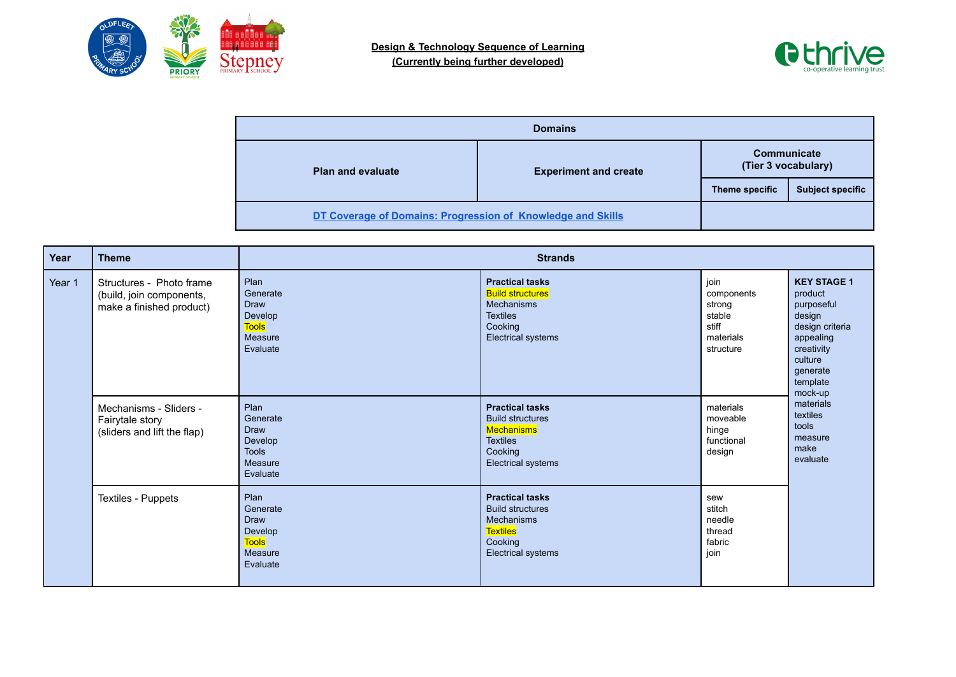



| <b>Domains</b>                                              |                              |                                           |                         |  |  |  |
|-------------------------------------------------------------|------------------------------|-------------------------------------------|-------------------------|--|--|--|
| <b>Plan and evaluate</b>                                    | <b>Experiment and create</b> | <b>Communicate</b><br>(Tier 3 vocabulary) |                         |  |  |  |
|                                                             |                              | Theme specific                            | <b>Subject specific</b> |  |  |  |
| DT Coverage of Domains: Progression of Knowledge and Skills |                              |                                           |                         |  |  |  |

| Year   | <b>Theme</b>                                                                     | <b>Strands</b>                                                                    |                                                                                                                            |                                                                           |                                                                                                                                                   |
|--------|----------------------------------------------------------------------------------|-----------------------------------------------------------------------------------|----------------------------------------------------------------------------------------------------------------------------|---------------------------------------------------------------------------|---------------------------------------------------------------------------------------------------------------------------------------------------|
| Year 1 | Structures - Photo frame<br>(build, join components,<br>make a finished product) | Plan<br>Generate<br>Draw<br>Develop<br><b>Tools</b><br>Measure<br>Evaluate        | <b>Practical tasks</b><br><b>Build structures</b><br>Mechanisms<br><b>Textiles</b><br>Cooking<br>Electrical systems        | join<br>components<br>strong<br>stable<br>stiff<br>materials<br>structure | <b>KEY STAGE 1</b><br>product<br>purposeful<br>design<br>design criteria<br>appealing<br>creativity<br>culture<br>generate<br>template<br>mock-up |
|        | Mechanisms - Sliders -<br>Fairytale story<br>(sliders and lift the flap)         | Plan<br>Generate<br><b>Draw</b><br>Develop<br><b>Tools</b><br>Measure<br>Evaluate | <b>Practical tasks</b><br><b>Build structures</b><br>Mechanisms<br><b>Textiles</b><br>Cooking<br>Electrical systems        | materials<br>moveable<br>hinge<br>functional<br>design                    | materials<br>textiles<br>tools<br>measure<br>make<br>evaluate                                                                                     |
|        | Textiles - Puppets                                                               | Plan<br>Generate<br><b>Draw</b><br>Develop<br><b>Tools</b><br>Measure<br>Evaluate | <b>Practical tasks</b><br><b>Build structures</b><br><b>Mechanisms</b><br><b>Textiles</b><br>Cooking<br>Electrical systems | sew<br>stitch<br>needle<br>thread<br>fabric<br>join                       |                                                                                                                                                   |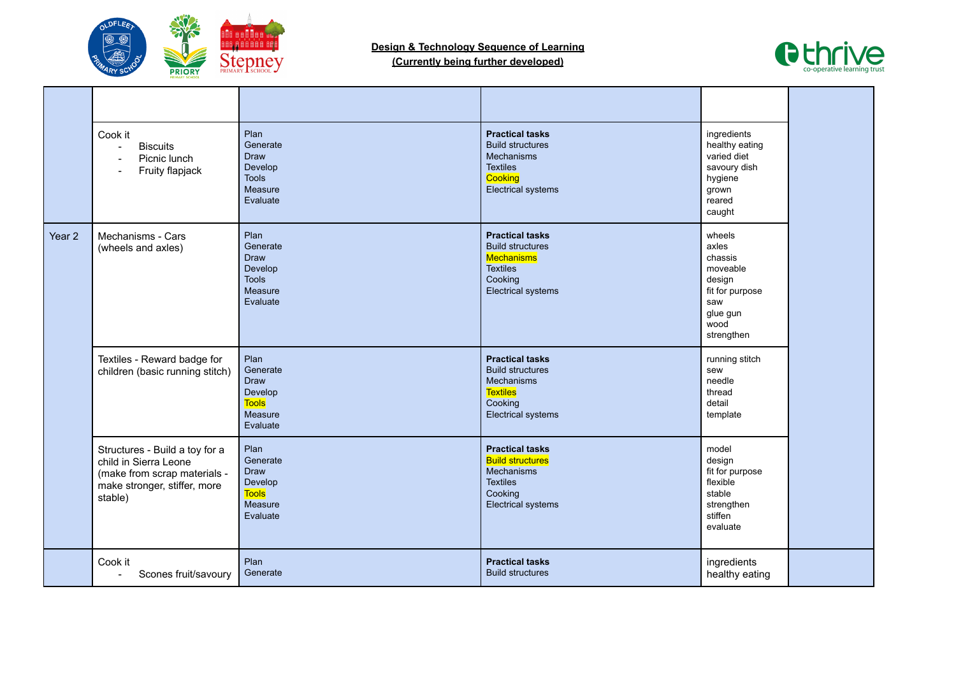



|                   | Cook it<br><b>Biscuits</b><br>Picnic lunch<br>Fruity flapjack                                                                      | Plan<br>Generate<br><b>Draw</b><br>Develop<br><b>Tools</b><br>Measure<br>Evaluate | <b>Practical tasks</b><br><b>Build structures</b><br><b>Mechanisms</b><br><b>Textiles</b><br>Cooking<br>Electrical systems        | ingredients<br>healthy eating<br>varied diet<br>savoury dish<br>hygiene<br>grown<br>reared<br>caught         |  |
|-------------------|------------------------------------------------------------------------------------------------------------------------------------|-----------------------------------------------------------------------------------|-----------------------------------------------------------------------------------------------------------------------------------|--------------------------------------------------------------------------------------------------------------|--|
| Year <sub>2</sub> | Mechanisms - Cars<br>(wheels and axles)                                                                                            | Plan<br>Generate<br><b>Draw</b><br>Develop<br><b>Tools</b><br>Measure<br>Evaluate | <b>Practical tasks</b><br><b>Build structures</b><br><b>Mechanisms</b><br><b>Textiles</b><br>Cooking<br>Electrical systems        | wheels<br>axles<br>chassis<br>moveable<br>design<br>fit for purpose<br>saw<br>glue gun<br>wood<br>strengthen |  |
|                   | Textiles - Reward badge for<br>children (basic running stitch)                                                                     | Plan<br>Generate<br><b>Draw</b><br>Develop<br><b>Tools</b><br>Measure<br>Evaluate | <b>Practical tasks</b><br><b>Build structures</b><br><b>Mechanisms</b><br><b>Textiles</b><br>Cooking<br>Electrical systems        | running stitch<br>sew<br>needle<br>thread<br>detail<br>template                                              |  |
|                   | Structures - Build a toy for a<br>child in Sierra Leone<br>(make from scrap materials -<br>make stronger, stiffer, more<br>stable) | Plan<br>Generate<br><b>Draw</b><br>Develop<br><b>Tools</b><br>Measure<br>Evaluate | <b>Practical tasks</b><br><b>Build structures</b><br><b>Mechanisms</b><br><b>Textiles</b><br>Cooking<br><b>Electrical systems</b> | model<br>design<br>fit for purpose<br>flexible<br>stable<br>strengthen<br>stiffen<br>evaluate                |  |
|                   | Cook it<br>Scones fruit/savoury<br>$\blacksquare$                                                                                  | Plan<br>Generate                                                                  | <b>Practical tasks</b><br><b>Build structures</b>                                                                                 | ingredients<br>healthy eating                                                                                |  |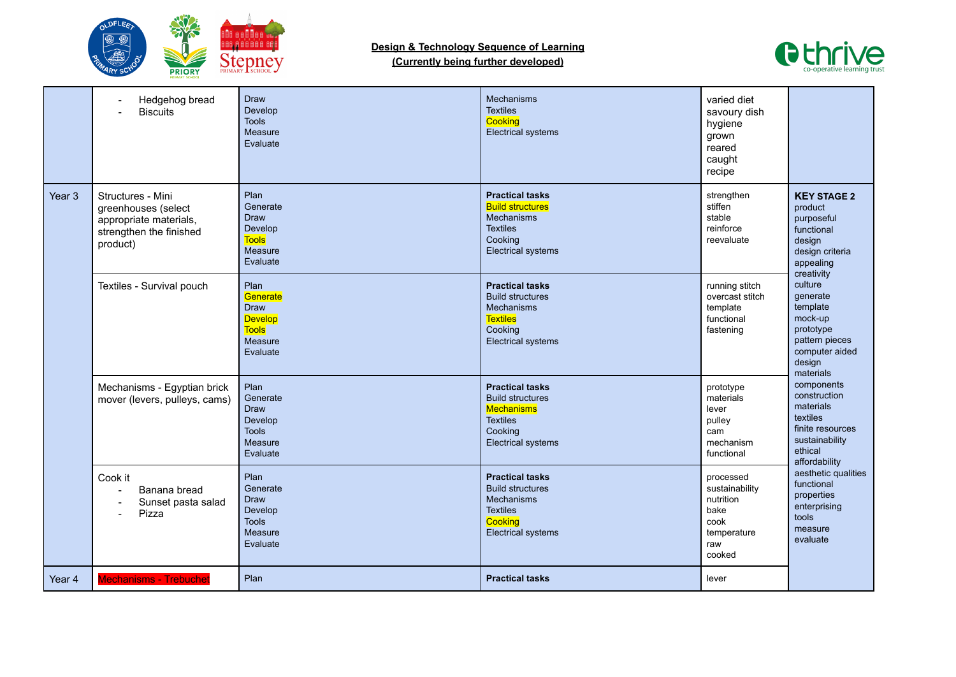



|                   | Hedgehog bread<br><b>Biscuits</b>                                                                         | <b>Draw</b><br>Develop<br><b>Tools</b><br>Measure<br>Evaluate                     | Mechanisms<br><b>Textiles</b><br>Cooking<br><b>Electrical systems</b>                                                             | varied diet<br>savoury dish<br>hygiene<br>grown<br>reared<br>caught<br>recipe            |                                                                                                                       |
|-------------------|-----------------------------------------------------------------------------------------------------------|-----------------------------------------------------------------------------------|-----------------------------------------------------------------------------------------------------------------------------------|------------------------------------------------------------------------------------------|-----------------------------------------------------------------------------------------------------------------------|
| Year <sub>3</sub> | Structures - Mini<br>greenhouses (select<br>appropriate materials,<br>strengthen the finished<br>product) | Plan<br>Generate<br><b>Draw</b><br>Develop<br><b>Tools</b><br>Measure<br>Evaluate | <b>Practical tasks</b><br><b>Build structures</b><br>Mechanisms<br><b>Textiles</b><br>Cooking<br><b>Electrical systems</b>        | strengthen<br>stiffen<br>stable<br>reinforce<br>reevaluate                               | <b>KEY STAGE 2</b><br>product<br>purposeful<br>functional<br>design<br>design criteria<br>appealing<br>creativity     |
|                   | Textiles - Survival pouch                                                                                 | Plan<br>Generate<br>Draw<br><b>Develop</b><br><b>Tools</b><br>Measure<br>Evaluate | <b>Practical tasks</b><br><b>Build structures</b><br><b>Mechanisms</b><br><b>Textiles</b><br>Cooking<br><b>Electrical systems</b> | running stitch<br>overcast stitch<br>template<br>functional<br>fastening                 | culture<br>generate<br>template<br>mock-up<br>prototype<br>pattern pieces<br>computer aided<br>design<br>materials    |
|                   | Mechanisms - Egyptian brick<br>mover (levers, pulleys, cams)                                              | Plan<br>Generate<br><b>Draw</b><br>Develop<br><b>Tools</b><br>Measure<br>Evaluate | <b>Practical tasks</b><br><b>Build structures</b><br><b>Mechanisms</b><br><b>Textiles</b><br>Cooking<br><b>Electrical systems</b> | prototype<br>materials<br>lever<br>pulley<br>cam<br>mechanism<br>functional              | components<br>construction<br>materials<br>textiles<br>finite resources<br>sustainability<br>ethical<br>affordability |
|                   | Cook it<br>Banana bread<br>Sunset pasta salad<br>$\blacksquare$<br>Pizza                                  | Plan<br>Generate<br><b>Draw</b><br>Develop<br><b>Tools</b><br>Measure<br>Evaluate | <b>Practical tasks</b><br><b>Build structures</b><br><b>Mechanisms</b><br><b>Textiles</b><br>Cooking<br><b>Electrical systems</b> | processed<br>sustainability<br>nutrition<br>bake<br>cook<br>temperature<br>raw<br>cooked | aesthetic qualities<br>functional<br>properties<br>enterprising<br>tools<br>measure<br>evaluate                       |
| Year 4            | <b>Mechanisms - Trebuchet</b>                                                                             | Plan                                                                              | <b>Practical tasks</b>                                                                                                            | lever                                                                                    |                                                                                                                       |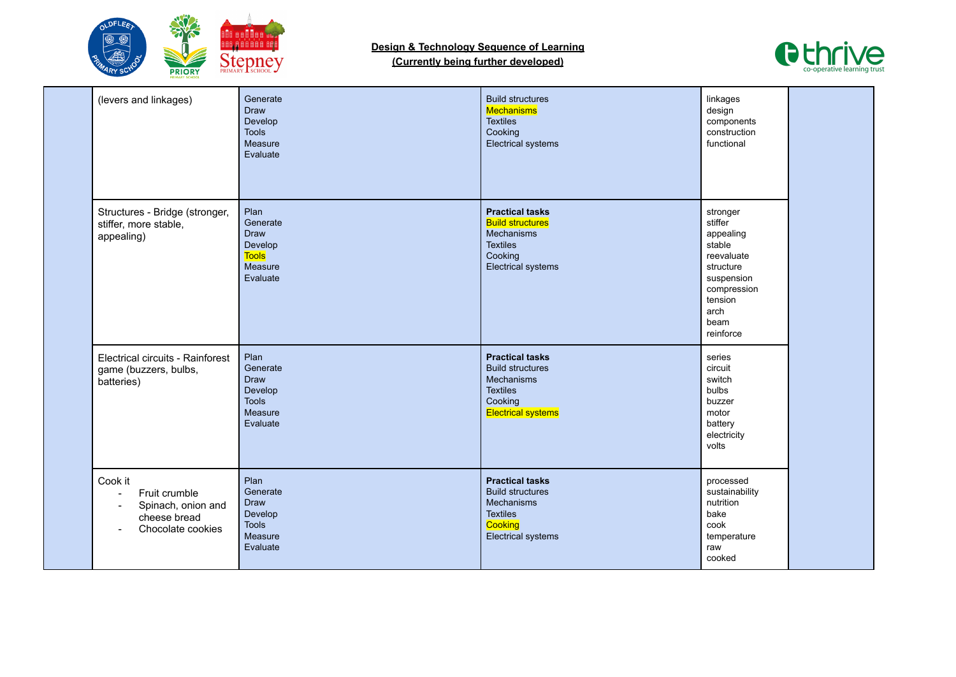



| (levers and linkages)                                                                                 | Generate<br><b>Draw</b><br>Develop<br><b>Tools</b><br>Measure<br>Evaluate         | <b>Build structures</b><br>Mechanisms<br><b>Textiles</b><br>Cooking<br><b>Electrical systems</b>                                  | linkages<br>design<br>components<br>construction<br>functional                                                                             |  |
|-------------------------------------------------------------------------------------------------------|-----------------------------------------------------------------------------------|-----------------------------------------------------------------------------------------------------------------------------------|--------------------------------------------------------------------------------------------------------------------------------------------|--|
| Structures - Bridge (stronger,<br>stiffer, more stable,<br>appealing)                                 | Plan<br>Generate<br><b>Draw</b><br>Develop<br><b>Tools</b><br>Measure<br>Evaluate | <b>Practical tasks</b><br><b>Build structures</b><br><b>Mechanisms</b><br><b>Textiles</b><br>Cooking<br><b>Electrical systems</b> | stronger<br>stiffer<br>appealing<br>stable<br>reevaluate<br>structure<br>suspension<br>compression<br>tension<br>arch<br>beam<br>reinforce |  |
| Electrical circuits - Rainforest<br>game (buzzers, bulbs,<br>batteries)                               | Plan<br>Generate<br><b>Draw</b><br>Develop<br><b>Tools</b><br>Measure<br>Evaluate | <b>Practical tasks</b><br><b>Build structures</b><br><b>Mechanisms</b><br><b>Textiles</b><br>Cooking<br><b>Electrical systems</b> | series<br>circuit<br>switch<br>bulbs<br>buzzer<br>motor<br>battery<br>electricity<br>volts                                                 |  |
| Cook it<br>Fruit crumble<br>Spinach, onion and<br>$\blacksquare$<br>cheese bread<br>Chocolate cookies | Plan<br>Generate<br><b>Draw</b><br>Develop<br><b>Tools</b><br>Measure<br>Evaluate | <b>Practical tasks</b><br><b>Build structures</b><br><b>Mechanisms</b><br><b>Textiles</b><br>Cooking<br><b>Electrical systems</b> | processed<br>sustainability<br>nutrition<br>bake<br>cook<br>temperature<br>raw<br>cooked                                                   |  |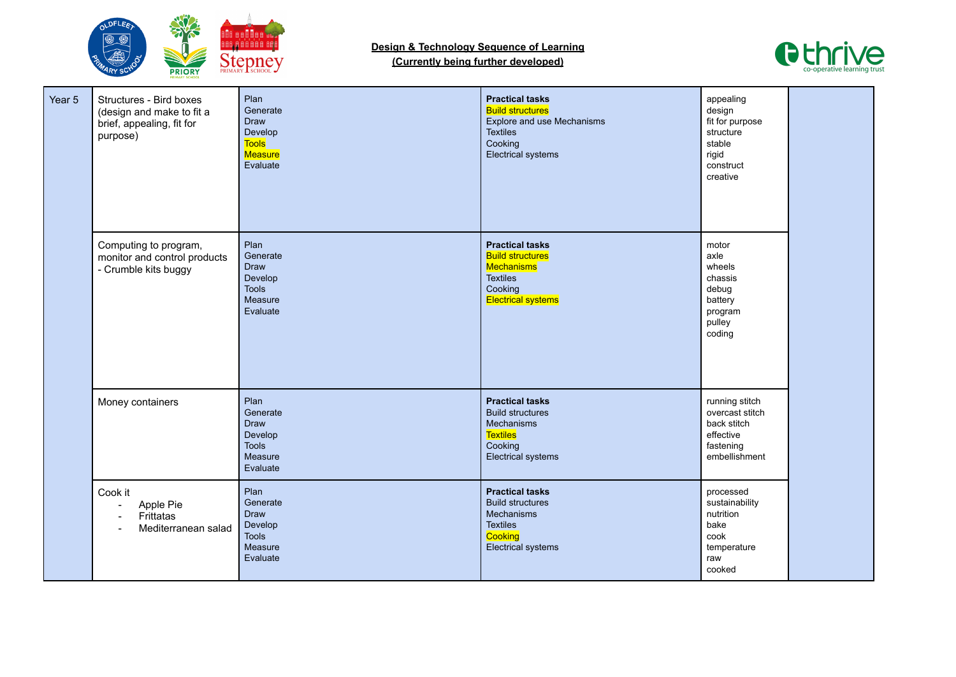



| Year 5 | Structures - Bird boxes<br>(design and make to fit a<br>brief, appealing, fit for<br>purpose) | Plan<br>Generate<br><b>Draw</b><br>Develop<br><b>Tools</b><br>Measure<br>Evaluate | <b>Practical tasks</b><br><b>Build structures</b><br>Explore and use Mechanisms<br><b>Textiles</b><br>Cooking<br>Electrical systems | appealing<br>design<br>fit for purpose<br>structure<br>stable<br>rigid<br>construct<br>creative |  |
|--------|-----------------------------------------------------------------------------------------------|-----------------------------------------------------------------------------------|-------------------------------------------------------------------------------------------------------------------------------------|-------------------------------------------------------------------------------------------------|--|
|        | Computing to program,<br>monitor and control products<br>- Crumble kits buggy                 | Plan<br>Generate<br><b>Draw</b><br>Develop<br><b>Tools</b><br>Measure<br>Evaluate | <b>Practical tasks</b><br><b>Build structures</b><br>Mechanisms<br><b>Textiles</b><br>Cooking<br><b>Electrical systems</b>          | motor<br>axle<br>wheels<br>chassis<br>debug<br>battery<br>program<br>pulley<br>coding           |  |
|        | Money containers                                                                              | Plan<br>Generate<br>Draw<br>Develop<br><b>Tools</b><br>Measure<br>Evaluate        | <b>Practical tasks</b><br><b>Build structures</b><br>Mechanisms<br><b>Textiles</b><br>Cooking<br><b>Electrical systems</b>          | running stitch<br>overcast stitch<br>back stitch<br>effective<br>fastening<br>embellishment     |  |
|        | Cook it<br>Apple Pie<br>$\overline{\phantom{0}}$<br>Frittatas<br>Mediterranean salad          | Plan<br>Generate<br><b>Draw</b><br>Develop<br><b>Tools</b><br>Measure<br>Evaluate | <b>Practical tasks</b><br><b>Build structures</b><br>Mechanisms<br><b>Textiles</b><br>Cooking<br><b>Electrical systems</b>          | processed<br>sustainability<br>nutrition<br>bake<br>cook<br>temperature<br>raw<br>cooked        |  |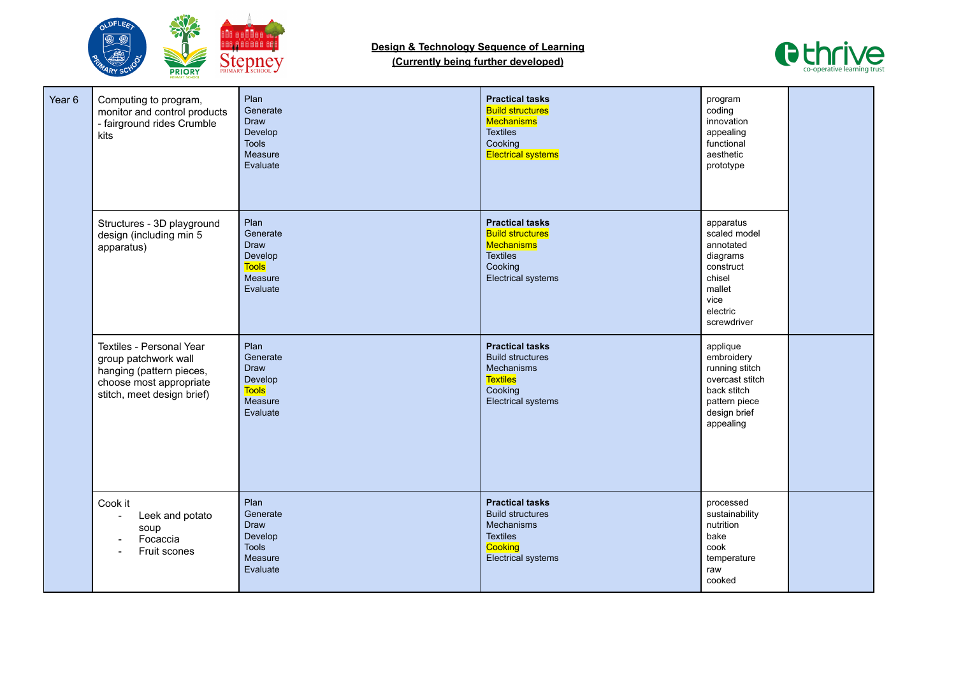



| Year <sub>6</sub> | Computing to program,<br>monitor and control products<br>- fairground rides Crumble<br>kits                                           | Plan<br>Generate<br><b>Draw</b><br>Develop<br><b>Tools</b><br>Measure<br>Evaluate | <b>Practical tasks</b><br><b>Build structures</b><br>Mechanisms<br><b>Textiles</b><br>Cooking<br><b>Electrical systems</b> | program<br>coding<br>innovation<br>appealing<br>functional<br>aesthetic<br>prototype                                     |  |
|-------------------|---------------------------------------------------------------------------------------------------------------------------------------|-----------------------------------------------------------------------------------|----------------------------------------------------------------------------------------------------------------------------|--------------------------------------------------------------------------------------------------------------------------|--|
|                   | Structures - 3D playground<br>design (including min 5<br>apparatus)                                                                   | Plan<br>Generate<br><b>Draw</b><br>Develop<br><b>Tools</b><br>Measure<br>Evaluate | <b>Practical tasks</b><br><b>Build structures</b><br>Mechanisms<br><b>Textiles</b><br>Cooking<br>Electrical systems        | apparatus<br>scaled model<br>annotated<br>diagrams<br>construct<br>chisel<br>mallet<br>vice<br>electric<br>screwdriver   |  |
|                   | Textiles - Personal Year<br>group patchwork wall<br>hanging (pattern pieces,<br>choose most appropriate<br>stitch, meet design brief) | Plan<br>Generate<br><b>Draw</b><br>Develop<br><b>Tools</b><br>Measure<br>Evaluate | <b>Practical tasks</b><br><b>Build structures</b><br>Mechanisms<br><b>Textiles</b><br>Cooking<br>Electrical systems        | applique<br>embroidery<br>running stitch<br>overcast stitch<br>back stitch<br>pattern piece<br>design brief<br>appealing |  |
|                   | Cook it<br>Leek and potato<br>soup<br>Focaccia<br>Fruit scones                                                                        | Plan<br>Generate<br><b>Draw</b><br>Develop<br><b>Tools</b><br>Measure<br>Evaluate | <b>Practical tasks</b><br><b>Build structures</b><br>Mechanisms<br><b>Textiles</b><br>Cooking<br><b>Electrical systems</b> | processed<br>sustainability<br>nutrition<br>bake<br>cook<br>temperature<br>raw<br>cooked                                 |  |